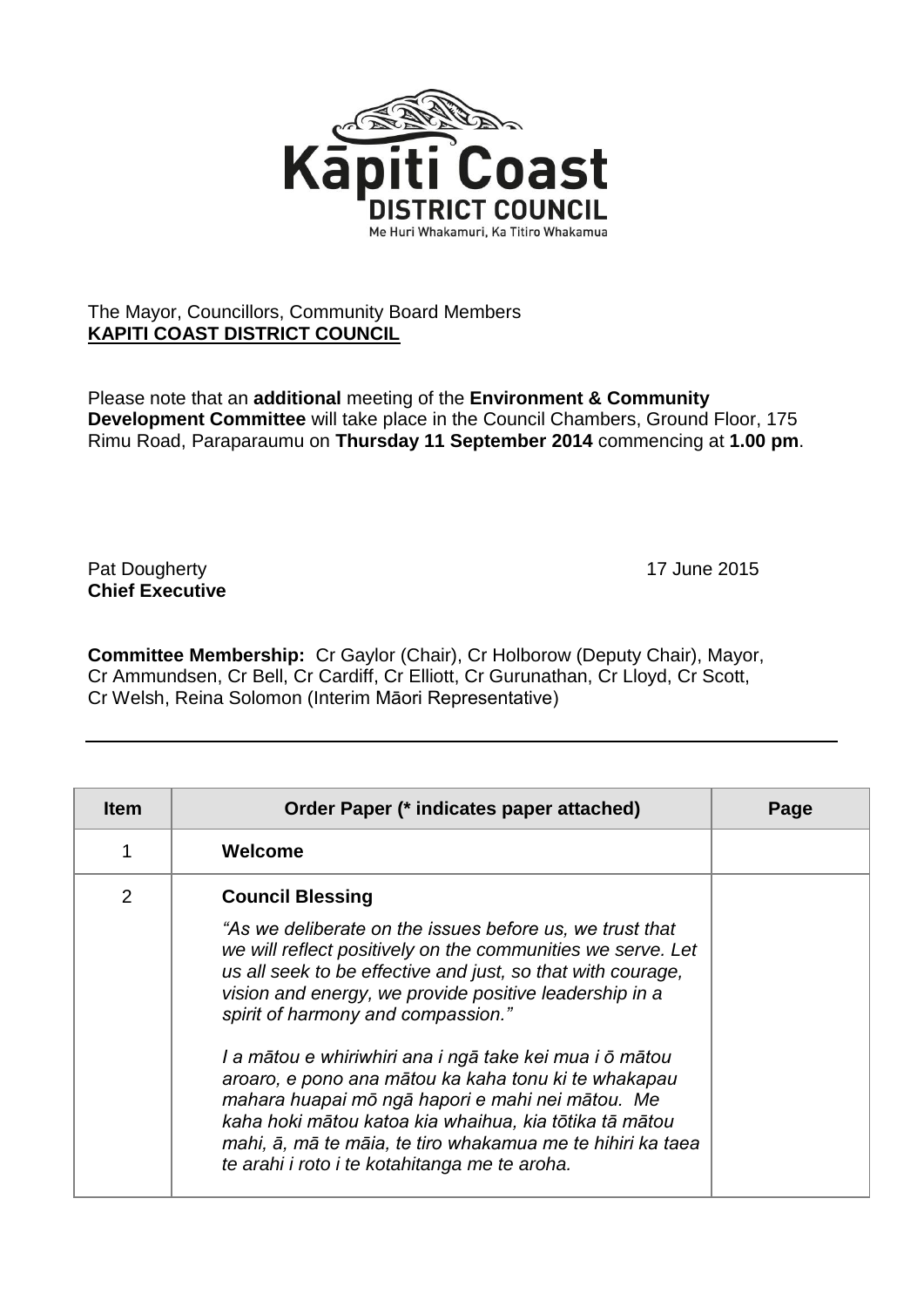

## The Mayor, Councillors, Community Board Members **KAPITI COAST DISTRICT COUNCIL**

Please note that an **additional** meeting of the **Environment & Community Development Committee** will take place in the Council Chambers, Ground Floor, 175 Rimu Road, Paraparaumu on **Thursday 11 September 2014** commencing at **1.00 pm**.

Pat Dougherty **17** June 2015 **Chief Executive**

**Committee Membership:** Cr Gaylor (Chair), Cr Holborow (Deputy Chair), Mayor, Cr Ammundsen, Cr Bell, Cr Cardiff, Cr Elliott, Cr Gurunathan, Cr Lloyd, Cr Scott, Cr Welsh, Reina Solomon (Interim Māori Representative)

| <b>Item</b>    | Order Paper (* indicates paper attached)                                                                                                                                                                                                                                                                                                                                                                                                                                                                                                                                                                                                                          | Page |
|----------------|-------------------------------------------------------------------------------------------------------------------------------------------------------------------------------------------------------------------------------------------------------------------------------------------------------------------------------------------------------------------------------------------------------------------------------------------------------------------------------------------------------------------------------------------------------------------------------------------------------------------------------------------------------------------|------|
|                | Welcome                                                                                                                                                                                                                                                                                                                                                                                                                                                                                                                                                                                                                                                           |      |
| $\overline{2}$ | <b>Council Blessing</b><br>"As we deliberate on the issues before us, we trust that<br>we will reflect positively on the communities we serve. Let<br>us all seek to be effective and just, so that with courage,<br>vision and energy, we provide positive leadership in a<br>spirit of harmony and compassion."<br>I a mātou e whiriwhiri ana i ngā take kei mua i ō mātou<br>aroaro, e pono ana mātou ka kaha tonu ki te whakapau<br>mahara huapai mō ngā hapori e mahi nei mātou. Me<br>kaha hoki mātou katoa kia whaihua, kia tōtika tā mātou<br>mahi, ā, mā te māia, te tiro whakamua me te hihiri ka taea<br>te arahi i roto i te kotahitanga me te aroha. |      |